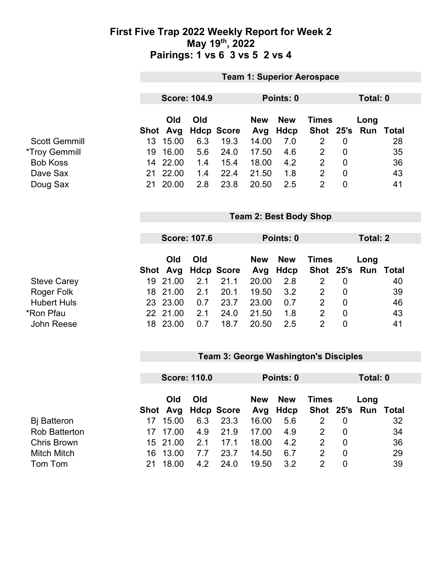### **First Five Trap 2022 Weekly Report for Week 2 May 19th, 2022 Pairings: 1 vs 6 3 vs 5 2 vs 4**

|                 | <b>Team 1: Superior Aerospace</b> |                                                           |                                                   |                                                |            |                               |                               |                                             |              |                                   |
|-----------------|-----------------------------------|-----------------------------------------------------------|---------------------------------------------------|------------------------------------------------|------------|-------------------------------|-------------------------------|---------------------------------------------|--------------|-----------------------------------|
|                 |                                   |                                                           |                                                   |                                                |            |                               |                               |                                             |              |                                   |
|                 |                                   |                                                           |                                                   |                                                |            |                               |                               |                                             |              |                                   |
|                 |                                   |                                                           |                                                   |                                                |            |                               |                               |                                             |              |                                   |
|                 | Old                               | Old                                                       |                                                   | <b>New</b>                                     | <b>New</b> |                               |                               | Long                                        |              |                                   |
|                 | Avg                               |                                                           |                                                   | Avg                                            | Hdcp       | <b>Shot</b>                   | 25's                          | Run                                         | <b>Total</b> |                                   |
| 13 <sup>°</sup> | 15.00                             | 6.3                                                       | 19.3                                              | 14.00                                          | 7.0        | $\overline{2}$                | $\mathbf 0$                   |                                             | 28           |                                   |
| 19              | 16.00                             | 5.6                                                       | 24.0                                              | 17.50                                          | 4.6        | $\overline{2}$                | 0                             |                                             | 35           |                                   |
| 14              |                                   | 1.4                                                       | 15.4                                              | 18.00                                          | 4.2        | $\overline{2}$                | $\mathbf 0$                   |                                             | 36           |                                   |
| 21              | 22.00                             | 1.4                                                       | 22.4                                              | 21.50                                          | 1.8        | $\overline{2}$                | $\overline{0}$                |                                             | 43           |                                   |
| 21              |                                   |                                                           |                                                   |                                                |            | $\overline{2}$                |                               |                                             |              |                                   |
|                 |                                   |                                                           |                                                   |                                                |            |                               |                               |                                             |              |                                   |
|                 |                                   |                                                           |                                                   |                                                |            |                               |                               |                                             |              |                                   |
|                 |                                   |                                                           |                                                   |                                                |            |                               |                               |                                             |              |                                   |
|                 |                                   |                                                           |                                                   |                                                |            |                               |                               |                                             |              |                                   |
|                 | Old                               | Old                                                       |                                                   | <b>New</b>                                     | <b>New</b> |                               |                               |                                             |              |                                   |
|                 | Avg                               |                                                           |                                                   | Avg                                            | Hdcp       | <b>Shot</b>                   | 25's                          | <b>Run</b>                                  | <b>Total</b> |                                   |
| 19              |                                   | 2.1                                                       | 21.1                                              | 20.00                                          | 2.8        | $\overline{2}$                | $\overline{0}$                |                                             | 40           |                                   |
| 18              | 21.00                             | 2.1                                                       | 20.1                                              | 19.50                                          | 3.2        | $\overline{2}$                | $\overline{0}$                |                                             | 39           |                                   |
| 23              |                                   | 0.7                                                       | 23.7                                              | 23.00                                          | 0.7        | $\overline{2}$                | $\mathbf 0$                   |                                             | 46           |                                   |
| 22              |                                   | 2.1                                                       | 24.0                                              | 21.50                                          | 1.8        | $\overline{2}$                | $\mathbf 0$                   |                                             | 43           |                                   |
|                 | 18 23.00                          | 0.7                                                       | 18.7                                              | 20.50                                          | 2.5        | $\overline{2}$                | $\overline{0}$                |                                             | 41           |                                   |
|                 |                                   | Shot<br>22.00<br>20.00<br>Shot<br>21.00<br>23.00<br>21.00 | <b>Score: 104.9</b><br>2.8<br><b>Score: 107.6</b> | <b>Hdcp Score</b><br>23.8<br><b>Hdcp Score</b> | 20.50      | Points: 0<br>2.5<br>Points: 0 | <b>Team 2: Best Body Shop</b> | <b>Times</b><br>$\mathbf 0$<br><b>Times</b> | Long         | Total: 0<br>41<br><b>Total: 2</b> |

## **Team 3: George Washington's Disciples**

|                      | <b>Score: 110.0</b> |          |     | Points: 0           |            |                        | Total: 0     |                |                             |    |
|----------------------|---------------------|----------|-----|---------------------|------------|------------------------|--------------|----------------|-----------------------------|----|
|                      |                     | Old      | Old | Shot Avg Hdcp Score | <b>New</b> | <b>New</b><br>Avg Hdcp | <b>Times</b> |                | Long<br>Shot 25's Run Total |    |
| <b>B</b> j Batteron  |                     | 15.00    | 6.3 | 23.3                | 16.00      | 5.6                    |              | 0              |                             | 32 |
| <b>Rob Batterton</b> |                     | 17 17.00 | 4.9 | 21.9                | 17.00      | 4.9                    | 2            | 0              |                             | 34 |
| <b>Chris Brown</b>   |                     | 15 21.00 | 2.1 | 17.1                | 18.00      | 4.2                    | 2            | $\Omega$       |                             | 36 |
| <b>Mitch Mitch</b>   | 16.                 | 13.00    | 7.7 | 23.7                | 14.50      | 6.7                    | 2            | $\overline{0}$ |                             | 29 |
| Tom Tom              |                     | 18.00    | 4.2 | 24.0                | 19.50      | 3.2                    | 2            | 0              |                             | 39 |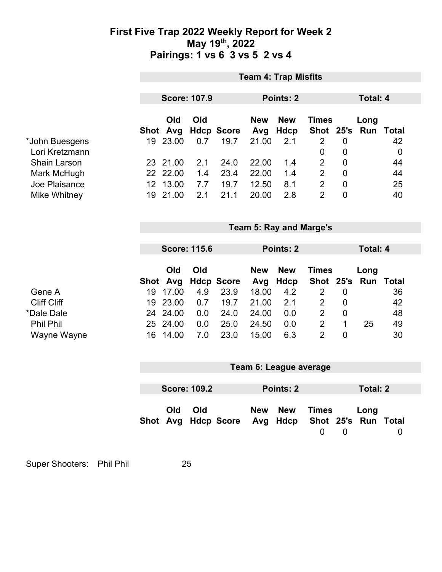### **First Five Trap 2022 Weekly Report for Week 2 May 19th, 2022 Pairings: 1 vs 6 3 vs 5 2 vs 4**

|                     | <b>Team 4: Trap Misfits</b>    |                     |     |                           |                   |                           |                      |                |                             |             |
|---------------------|--------------------------------|---------------------|-----|---------------------------|-------------------|---------------------------|----------------------|----------------|-----------------------------|-------------|
|                     |                                | <b>Score: 107.9</b> |     |                           |                   | Points: 2                 |                      |                | <b>Total: 4</b>             |             |
|                     |                                | Old<br>Shot Avg     | Old |                           | <b>New</b>        | <b>New</b><br><b>Hdcp</b> | <b>Times</b><br>Shot | 25's           | Long<br>Run Total           |             |
| *John Buesgens      |                                | 19 23.00            | 0.7 | <b>Hdcp Score</b><br>19.7 | Avg<br>21.00      | 2.1                       | $\overline{2}$       | $\mathbf 0$    |                             | 42          |
| Lori Kretzmann      |                                |                     |     |                           |                   |                           | 0                    | $\mathbf 0$    |                             | $\mathbf 0$ |
| <b>Shain Larson</b> |                                | 23 21.00            | 2.1 | 24.0                      | 22.00             | 1.4                       | $\overline{2}$       | $\mathbf 0$    |                             | 44          |
| Mark McHugh         |                                | 22 22.00            | 1.4 | 23.4                      | 22.00             | 1.4                       | $\overline{2}$       | $\mathbf 0$    |                             | 44          |
| Joe Plaisance       |                                | 12 13.00            | 7.7 | 19.7                      | 12.50             | 8.1                       | $\overline{2}$       | $\mathbf 0$    |                             | 25          |
| Mike Whitney        |                                | 19 21.00            | 2.1 | 21.1                      | 20.00             | 2.8                       | $\overline{2}$       | $\overline{0}$ |                             | 40          |
|                     |                                |                     |     |                           |                   |                           |                      |                |                             |             |
|                     | <b>Team 5: Ray and Marge's</b> |                     |     |                           |                   |                           |                      |                |                             |             |
|                     |                                | <b>Score: 115.6</b> |     |                           |                   | <b>Points: 2</b>          |                      |                | <b>Total: 4</b>             |             |
|                     |                                | Old                 | Old |                           | <b>New</b>        | <b>New</b>                | <b>Times</b>         |                | Long                        |             |
|                     |                                | Shot Avg            |     | <b>Hdcp Score</b>         | Avg               | Hdcp                      | <b>Shot</b>          | 25's           | <b>Run Total</b>            |             |
| Gene A              | 19                             | 17.00               | 4.9 | 23.9                      | 18.00             | 4.2                       | $\overline{2}$       | $\mathbf 0$    |                             | 36          |
| <b>Cliff Cliff</b>  | 19                             | 23.00               | 0.7 | 19.7                      | 21.00             | 2.1                       | $\overline{2}$       | $\overline{0}$ |                             | 42          |
| *Dale Dale          |                                | 24 24.00            | 0.0 | 24.0                      | 24.00             | 0.0                       | $\overline{2}$       | $\mathbf 0$    |                             | 48          |
| <b>Phil Phil</b>    | 25                             | 24.00               | 0.0 | 25.0                      | 24.50             | 0.0                       | $\overline{2}$       | 1              | 25                          | 49          |
| Wayne Wayne         | 16                             | 14.00               | 7.0 | 23.0                      | 15.00             | 6.3                       | $\overline{2}$       | $\overline{0}$ |                             | 30          |
|                     | Team 6: League average         |                     |     |                           |                   |                           |                      |                |                             |             |
|                     |                                |                     |     |                           |                   |                           |                      |                |                             |             |
|                     |                                | <b>Score: 109.2</b> |     |                           | Points: 2         |                           |                      |                | <b>Total: 2</b>             |             |
|                     |                                | Old<br>Shot Avg     | Old | <b>Hdcp Score</b>         | <b>New</b><br>Avg | <b>New</b><br><b>Hdcp</b> | <b>Times</b>         |                | Long<br>Shot 25's Run Total |             |

Super Shooters: Phil Phil 25

 $0 \t 0 \t 0$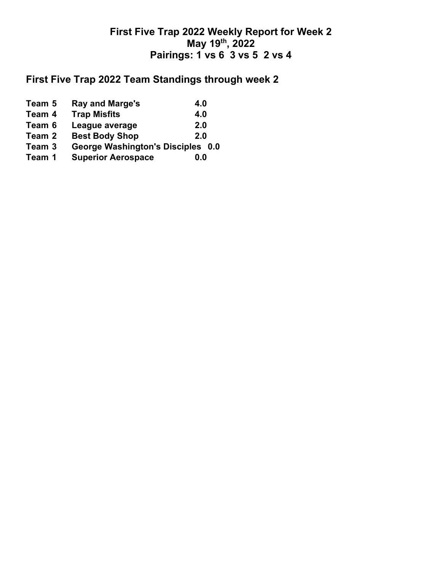## **First Five Trap 2022 Weekly Report for Week 2 May 19th, 2022 Pairings: 1 vs 6 3 vs 5 2 vs 4**

# **First Five Trap 2022 Team Standings through week 2**

| Team 5 | <b>Ray and Marge's</b>            | 4.0 |
|--------|-----------------------------------|-----|
| Team 4 | <b>Trap Misfits</b>               | 4.0 |
| Team 6 | League average                    | 2.0 |
| Team 2 | <b>Best Body Shop</b>             | 2.0 |
| Team 3 | George Washington's Disciples 0.0 |     |
| Team 1 | <b>Superior Aerospace</b>         | 0.0 |